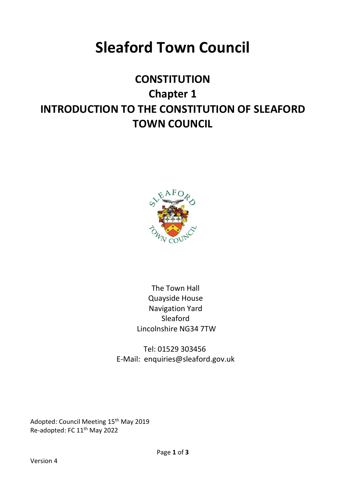# **Sleaford Town Council**

# **CONSTITUTION Chapter 1 INTRODUCTION TO THE CONSTITUTION OF SLEAFORD TOWN COUNCIL**



The Town Hall Quayside House Navigation Yard Sleaford Lincolnshire NG34 7TW

Tel: 01529 303456 E-Mail: enquiries@sleaford.gov.uk

Adopted: Council Meeting 15th May 2019 Re-adopted: FC 11th May 2022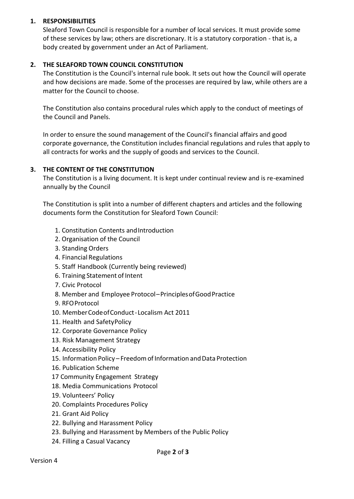#### **1. RESPONSIBILITIES**

Sleaford Town Council is responsible for a number of local services. It must provide some of these services by law; others are discretionary. It is a statutory corporation - that is, a body created by government under an Act of Parliament.

#### **2. THE SLEAFORD TOWN COUNCIL CONSTITUTION**

The Constitution is the Council's internal rule book. It sets out how the Council will operate and how decisions are made. Some of the processes are required by law, while others are a matter for the Council to choose.

The Constitution also contains procedural rules which apply to the conduct of meetings of the Council and Panels.

In order to ensure the sound management of the Council's financial affairs and good corporate governance, the Constitution includes financial regulations and rules that apply to all contracts for works and the supply of goods and services to the Council.

#### **3. THE CONTENT OF THE CONSTITUTION**

The Constitution is a living document. It is kept under continual review and is re-examined annually by the Council

The Constitution is split into a number of different chapters and articles and the following documents form the Constitution for Sleaford Town Council:

- 1. Constitution Contents and Introduction
- 2. Organisation of the Council
- 3. Standing Orders
- 4. Financial Regulations
- 5. Staff Handbook (Currently being reviewed)
- 6. Training Statement of Intent
- 7. Civic Protocol
- 8. Member and Employee Protocol–PrinciplesofGoodPractice
- 9. RFOProtocol
- 10. MemberCodeofConduct-Localism Act 2011
- 11. Health and SafetyPolicy
- 12. Corporate Governance Policy
- 13. Risk Management Strategy
- 14. Accessibility Policy
- 15. Information Policy Freedom of Information and Data Protection
- 16. Publication Scheme
- 17 Community Engagement Strategy
- 18. Media Communications Protocol
- 19. Volunteers' Policy
- 20. Complaints Procedures Policy
- 21. Grant Aid Policy
- 22. Bullying and Harassment Policy
- 23. Bullying and Harassment by Members of the Public Policy
- 24. Filling a Casual Vacancy